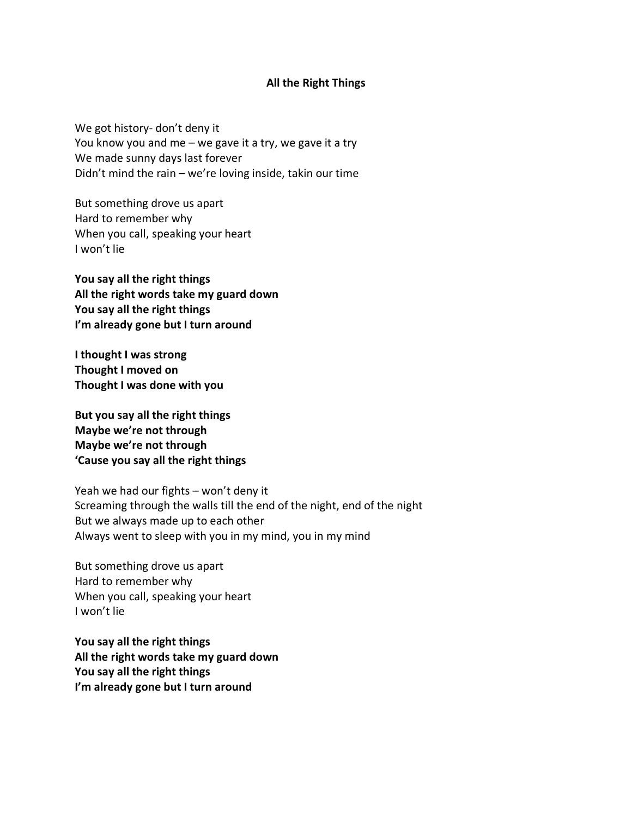## **All the Right Things**

We got history- don't deny it You know you and me – we gave it a try, we gave it a try We made sunny days last forever Didn't mind the rain – we're loving inside, takin our time

But something drove us apart Hard to remember why When you call, speaking your heart I won't lie

**You say all the right things All the right words take my guard down You say all the right things I'm already gone but I turn around**

**I thought I was strong Thought I moved on Thought I was done with you**

**But you say all the right things Maybe we're not through Maybe we're not through 'Cause you say all the right things**

Yeah we had our fights – won't deny it Screaming through the walls till the end of the night, end of the night But we always made up to each other Always went to sleep with you in my mind, you in my mind

But something drove us apart Hard to remember why When you call, speaking your heart I won't lie

**You say all the right things All the right words take my guard down You say all the right things I'm already gone but I turn around**